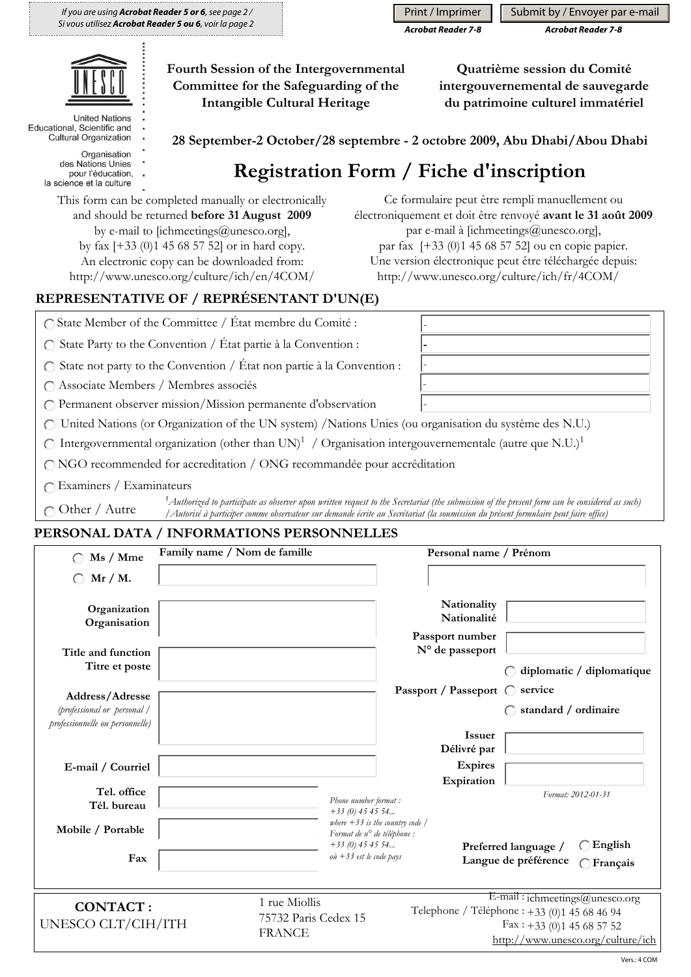*If you are using Acrobat Reader 5 or 6, see page 2 / Si vous utilisez Acrobat Reader 5 ou 6, voir la page 2*

#### *Acrobat Reader 7-8 Acrobat Reader 7-8* Print / Imprimer  $\|\cdot\|$  Submit by / Envoyer par e-mail

**Quatrième session du Comité intergouvernemental de sauvegarde du patrimoine culturel immatériel** 



**United Nations** Educational, Scientific and Cultural Organization

Organisation

- des Nations Unies pour l'éducation,
- la science et la culture

**Registration Form / Fiche d'inscription**

- **-** - - -

**28 September-2 October/28 septembre - 2 octobre 2009, Abu Dhabi/Abou Dhabi**

This form can be completed manually or electronically and should be returned **before 31 August 2009**  by e-mail to [ichmeetings@unesco.org], by fax [+33 (0)1 45 68 57 52] or in hard copy. An electronic copy can be downloaded from: http://www.unesco.org/culture/ich/en/4COM/

#### Ce formulaire peut être rempli manuellement ou électroniquement et doit être renvoyé **avant le 31 août 2009** par e-mail à [ichmeetings@unesco.org], par fax [+33 (0)1 45 68 57 52] ou en copie papier. Une version électronique peut être téléchargée depuis: http://www.unesco.org/culture/ich/fr/4COM/

# **REPRESENTATIVE OF / REPRÉSENTANT D'UN(E)**

State Member of the Committee / État membre du Comité :

 $\bigcap$  State Party to the Convention / État partie à la Convention :

 $\bigcirc$  State not party to the Convention / État non partie à la Convention :

Associate Members / Membres associés

Permanent observer mission/Mission permanente d'observation

United Nations (or Organization of the UN system) /Nations Unies (ou organisation du système des N.U.)

**Fourth Session of the Intergovernmental Committee for the Safeguarding of the Intangible Cultural Heritage** 

 $\bigcirc$  Intergovernmental organization (other than UN)<sup>1</sup> / Organisation intergouvernementale (autre que N.U.)<sup>1</sup>

NGO recommended for accreditation / ONG recommandée pour accréditation

Examiners / Examinateurs

 $\bigcap$  Other / Autre

*1 Authorized to participate as observer upon written request to the Secretariat (the submission of the present form can be considered as such) /Autorisé à participer comme observateur sur demande écrite au Secrétariat (la soumission du présent formulaire peut faire office)*

### **PERSONAL DATA / INFORMATIONS PERSONNELLES**

| Family name / Nom de famille<br>Ms / Mme                                          |  |                                                        |                                                                                                                                    | Personal name / Prénom                      |                                                                                                                                                           |  |
|-----------------------------------------------------------------------------------|--|--------------------------------------------------------|------------------------------------------------------------------------------------------------------------------------------------|---------------------------------------------|-----------------------------------------------------------------------------------------------------------------------------------------------------------|--|
| $Mr/M$ .                                                                          |  |                                                        |                                                                                                                                    |                                             |                                                                                                                                                           |  |
| Organization<br>Organisation                                                      |  |                                                        |                                                                                                                                    | Nationality<br>Nationalité                  |                                                                                                                                                           |  |
| Title and function<br>Titre et poste                                              |  |                                                        |                                                                                                                                    | Passport number<br>N° de passeport          | diplomatic / diplomatique                                                                                                                                 |  |
| Address/Adresse<br>(professional or personal /<br>professionnelle ou personnelle) |  |                                                        |                                                                                                                                    | Passport / Passeport (<br><b>Issuer</b>     | service<br>standard / ordinaire                                                                                                                           |  |
| E-mail / Courriel                                                                 |  |                                                        |                                                                                                                                    | Délivré par<br><b>Expires</b><br>Expiration |                                                                                                                                                           |  |
| Tel. office<br>Tél. bureau<br>Mobile / Portable                                   |  |                                                        | Phone number format:<br>$+33(0)$ 45 45 54<br>where $+33$ is the country code /<br>Format de n° de téléphone :<br>$+33(0)$ 45 45 54 |                                             | Format: 2012-01-31<br>$\bigcirc$ English<br>Preferred language /                                                                                          |  |
| Fax                                                                               |  |                                                        | $o\dot{u}$ +33 est le code pays                                                                                                    |                                             | Langue de préférence<br>Français                                                                                                                          |  |
| <b>CONTACT:</b><br>UNESCO CLT/CIH/ITH                                             |  | 1 rue Miollis<br>75732 Paris Cedex 15<br><b>FRANCE</b> |                                                                                                                                    |                                             | E-mail: ichmeetings@unesco.org<br>Telephone / Téléphone : +33 (0)1 45 68 46 94<br>$\text{Fax}: +33$ (0)1 45 68 57 52<br>http://www.unesco.org/culture/ich |  |